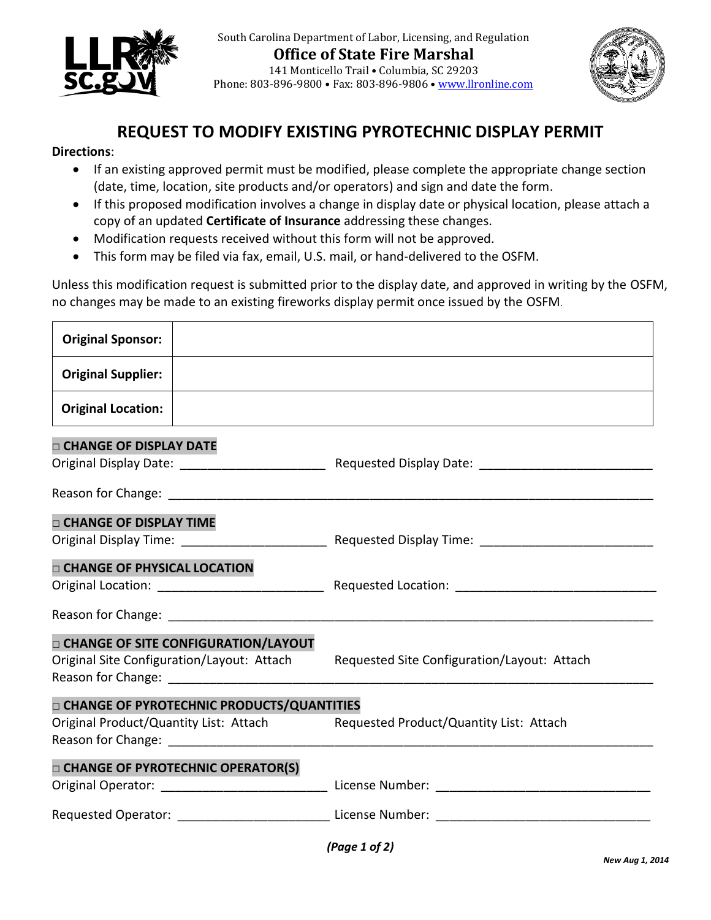

South Carolina Department of Labor, Licensing, and Regulation **Office of State Fire Marshal** 141 Monticello Trail • Columbia, SC 29203 Phone: 803-896-9800 • Fax: 803-896-9806 • [www.llronline.com](http://www.llronline.com/)



## **REQUEST TO MODIFY EXISTING PYROTECHNIC DISPLAY PERMIT**

## **Directions**:

Ē

- If an existing approved permit must be modified, please complete the appropriate change section (date, time, location, site products and/or operators) and sign and date the form.
- If this proposed modification involves a change in display date or physical location, please attach a copy of an updated **Certificate of Insurance** addressing these changes.
- Modification requests received without this form will not be approved.
- This form may be filed via fax, email, U.S. mail, or hand-delivered to the OSFM.

Unless this modification request is submitted prior to the display date, and approved in writing by the OSFM, no changes may be made to an existing fireworks display permit once issued by the OSFM.

| <b>Original Sponsor:</b>                                                                                                                                                                                                                                                 |                                             |
|--------------------------------------------------------------------------------------------------------------------------------------------------------------------------------------------------------------------------------------------------------------------------|---------------------------------------------|
| <b>Original Supplier:</b>                                                                                                                                                                                                                                                |                                             |
| <b>Original Location:</b>                                                                                                                                                                                                                                                |                                             |
| <b>D CHANGE OF DISPLAY DATE</b>                                                                                                                                                                                                                                          |                                             |
|                                                                                                                                                                                                                                                                          |                                             |
|                                                                                                                                                                                                                                                                          |                                             |
| <b>CHANGE OF DISPLAY TIME</b>                                                                                                                                                                                                                                            |                                             |
|                                                                                                                                                                                                                                                                          |                                             |
| <b>D CHANGE OF PHYSICAL LOCATION</b>                                                                                                                                                                                                                                     |                                             |
|                                                                                                                                                                                                                                                                          |                                             |
| <b>D CHANGE OF SITE CONFIGURATION/LAYOUT</b><br>Original Site Configuration/Layout: Attach                                                                                                                                                                               | Requested Site Configuration/Layout: Attach |
|                                                                                                                                                                                                                                                                          |                                             |
| <b>D CHANGE OF PYROTECHNIC PRODUCTS/QUANTITIES</b>                                                                                                                                                                                                                       |                                             |
| Original Product/Quantity List: Attach<br>Reason for Change: The Change of the Change of the Change of the Change of the Change of the Change of the Change of the Change of the Change of the Change of the Change of the Change of the Change of the Change of the Cha | Requested Product/Quantity List: Attach     |
| <b>D CHANGE OF PYROTECHNIC OPERATOR(S)</b>                                                                                                                                                                                                                               |                                             |
|                                                                                                                                                                                                                                                                          |                                             |
|                                                                                                                                                                                                                                                                          |                                             |